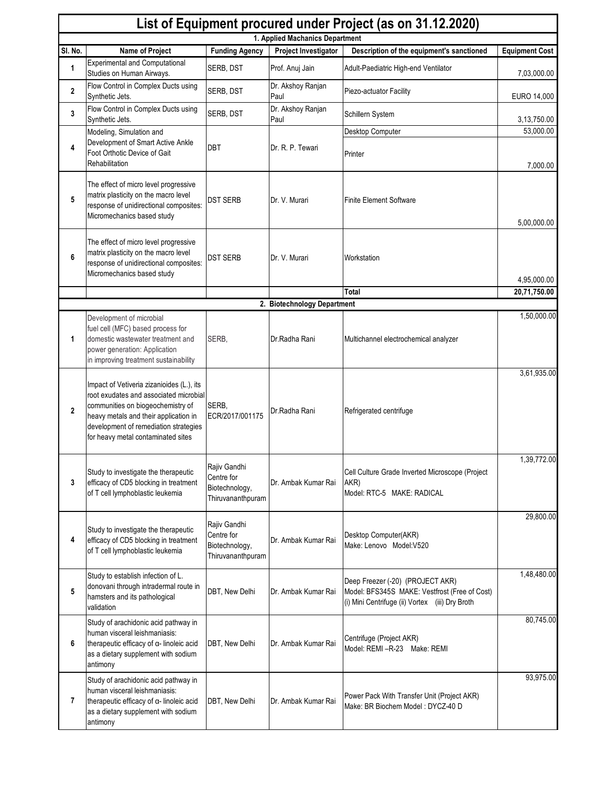|              | List of Equipment procured under Project (as on 31.12.2020)                                                                                                                                                                                      |                                                                   |                             |                                                                                                                                      |                       |  |  |  |
|--------------|--------------------------------------------------------------------------------------------------------------------------------------------------------------------------------------------------------------------------------------------------|-------------------------------------------------------------------|-----------------------------|--------------------------------------------------------------------------------------------------------------------------------------|-----------------------|--|--|--|
|              | 1. Applied Machanics Department                                                                                                                                                                                                                  |                                                                   |                             |                                                                                                                                      |                       |  |  |  |
| SI. No.      | Name of Project<br><b>Experimental and Computational</b>                                                                                                                                                                                         | <b>Funding Agency</b>                                             | Project Investigator        | Description of the equipment's sanctioned                                                                                            | <b>Equipment Cost</b> |  |  |  |
| 1            | Studies on Human Airways.                                                                                                                                                                                                                        | SERB, DST                                                         | Prof. Anuj Jain             | Adult-Paediatric High-end Ventilator                                                                                                 | 7,03,000.00           |  |  |  |
| $\mathbf{2}$ | Flow Control in Complex Ducts using<br>Synthetic Jets.                                                                                                                                                                                           | SERB, DST                                                         | Dr. Akshoy Ranjan<br>Paul   | Piezo-actuator Facility                                                                                                              | EURO 14,000           |  |  |  |
| 3            | Flow Control in Complex Ducts using<br>Synthetic Jets.                                                                                                                                                                                           | SERB, DST                                                         | Dr. Akshoy Ranjan<br>Paul   | Schillern System                                                                                                                     | 3,13,750.00           |  |  |  |
|              | Modeling, Simulation and<br>Development of Smart Active Ankle                                                                                                                                                                                    |                                                                   |                             | Desktop Computer                                                                                                                     | 53,000.00             |  |  |  |
| 4            | Foot Orthotic Device of Gait<br>Rehabilitation                                                                                                                                                                                                   | DBT                                                               | Dr. R. P. Tewari            | Printer                                                                                                                              | 7,000.00              |  |  |  |
| 5            | The effect of micro level progressive<br>matrix plasticity on the macro level<br>response of unidirectional composites:<br>Micromechanics based study                                                                                            | <b>DST SERB</b>                                                   | Dr. V. Murari               | <b>Finite Element Software</b>                                                                                                       | 5,00,000.00           |  |  |  |
| 6            | The effect of micro level progressive<br>matrix plasticity on the macro level<br>response of unidirectional composites:<br>Micromechanics based study                                                                                            | <b>DST SERB</b>                                                   | Dr. V. Murari               | Workstation                                                                                                                          | 4,95,000.00           |  |  |  |
|              |                                                                                                                                                                                                                                                  |                                                                   |                             | Total                                                                                                                                | 20,71,750.00          |  |  |  |
|              |                                                                                                                                                                                                                                                  |                                                                   | 2. Biotechnology Department |                                                                                                                                      |                       |  |  |  |
| 1            | Development of microbial<br>fuel cell (MFC) based process for<br>domestic wastewater treatment and<br>power generation: Application<br>in improving treatment sustainability                                                                     | SERB,                                                             | Dr.Radha Rani               | Multichannel electrochemical analyzer                                                                                                | 1,50,000.00           |  |  |  |
| $\mathbf{2}$ | Impact of Vetiveria zizanioides (L.), its<br>root exudates and associated microbial<br>communities on biogeochemistry of<br>heavy metals and their application in<br>development of remediation strategies<br>for heavy metal contaminated sites | SERB,<br>ECR/2017/001175                                          | Dr.Radha Rani               | Refrigerated centrifuge                                                                                                              | 3,61,935.00           |  |  |  |
| 3            | Study to investigate the therapeutic<br>efficacy of CD5 blocking in treatment<br>of T cell lymphoblastic leukemia                                                                                                                                | Rajiv Gandhi<br>Centre for<br>Biotechnology,<br>Thiruvananthpuram | Dr. Ambak Kumar Rai         | Cell Culture Grade Inverted Microscope (Project<br>AKR)<br>Model: RTC-5 MAKE: RADICAL                                                | 1,39,772.00           |  |  |  |
| 4            | Study to investigate the therapeutic<br>efficacy of CD5 blocking in treatment<br>of T cell lymphoblastic leukemia                                                                                                                                | Rajiv Gandhi<br>Centre for<br>Biotechnology,<br>Thiruvananthpuram | Dr. Ambak Kumar Rai         | Desktop Computer(AKR)<br>Make: Lenovo Model: V520                                                                                    | 29,800.00             |  |  |  |
| 5            | Study to establish infection of L.<br>donovani through intradermal route in<br>hamsters and its pathological<br>validation                                                                                                                       | DBT, New Delhi                                                    | Dr. Ambak Kumar Rai         | Deep Freezer (-20) (PROJECT AKR)<br>Model: BFS345S MAKE: Vestfrost (Free of Cost)<br>(i) Mini Centrifuge (ii) Vortex (iii) Dry Broth | 1,48,480.00           |  |  |  |
| 6            | Study of arachidonic acid pathway in<br>human visceral leishmaniasis:<br>therapeutic efficacy of a-linoleic acid<br>as a dietary supplement with sodium<br>antimony                                                                              | DBT, New Delhi                                                    | Dr. Ambak Kumar Rai         | Centrifuge (Project AKR)<br>Model: REMI-R-23 Make: REMI                                                                              | 80,745.00             |  |  |  |
| 7            | Study of arachidonic acid pathway in<br>human visceral leishmaniasis:<br>therapeutic efficacy of a-linoleic acid<br>as a dietary supplement with sodium<br>antimony                                                                              | DBT, New Delhi                                                    | Dr. Ambak Kumar Rai         | Power Pack With Transfer Unit (Project AKR)<br>Make: BR Biochem Model: DYCZ-40 D                                                     | 93,975.00             |  |  |  |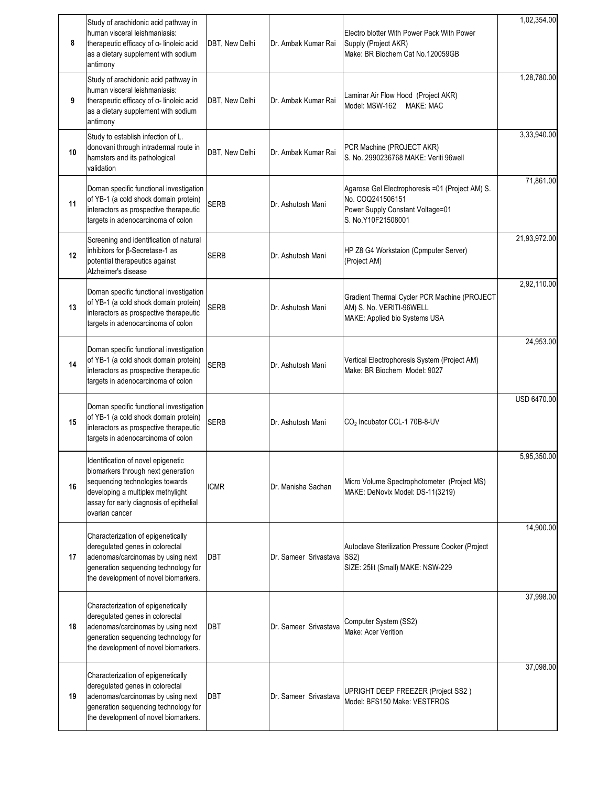| 8  | Study of arachidonic acid pathway in<br>human visceral leishmaniasis:<br>therapeutic efficacy of α- linoleic acid<br>as a dietary supplement with sodium<br>antimony                                          | DBT, New Delhi | Dr. Ambak Kumar Rai   | Electro blotter With Power Pack With Power<br>Supply (Project AKR)<br>Make: BR Biochem Cat No.120059GB                        | 1,02,354.00  |
|----|---------------------------------------------------------------------------------------------------------------------------------------------------------------------------------------------------------------|----------------|-----------------------|-------------------------------------------------------------------------------------------------------------------------------|--------------|
| 9  | Study of arachidonic acid pathway in<br>human visceral leishmaniasis:<br>therapeutic efficacy of α- linoleic acid<br>as a dietary supplement with sodium<br>antimony                                          | DBT, New Delhi | Dr. Ambak Kumar Rai   | Laminar Air Flow Hood (Project AKR)<br>Model: MSW-162 MAKE: MAC                                                               | 1,28,780.00  |
| 10 | Study to establish infection of L.<br>donovani through intradermal route in<br>hamsters and its pathological<br>validation                                                                                    | DBT, New Delhi | Dr. Ambak Kumar Rai   | PCR Machine (PROJECT AKR)<br>S. No. 2990236768 MAKE: Veriti 96well                                                            | 3,33,940.00  |
| 11 | Doman specific functional investigation<br>of YB-1 (a cold shock domain protein)<br>interactors as prospective therapeutic<br>targets in adenocarcinoma of colon                                              | <b>SERB</b>    | Dr. Ashutosh Mani     | Agarose Gel Electrophoresis =01 (Project AM) S.<br>No. COQ241506151<br>Power Supply Constant Voltage=01<br>S. No.Y10F21508001 | 71,861.00    |
| 12 | Screening and identification of natural<br>inhibitors for β-Secretase-1 as<br>potential therapeutics against<br>Alzheimer's disease                                                                           | <b>SERB</b>    | Dr. Ashutosh Mani     | HP Z8 G4 Workstaion (Cpmputer Server)<br>(Project AM)                                                                         | 21,93,972.00 |
| 13 | Doman specific functional investigation<br>of YB-1 (a cold shock domain protein)<br>interactors as prospective therapeutic<br>targets in adenocarcinoma of colon                                              | <b>SERB</b>    | Dr. Ashutosh Mani     | Gradient Thermal Cycler PCR Machine (PROJECT<br>AM) S. No. VERITI-96WELL<br>MAKE: Applied bio Systems USA                     | 2,92,110.00  |
| 14 | Doman specific functional investigation<br>of YB-1 (a cold shock domain protein)<br>interactors as prospective therapeutic<br>targets in adenocarcinoma of colon                                              | <b>SERB</b>    | Dr. Ashutosh Mani     | Vertical Electrophoresis System (Project AM)<br>Make: BR Biochem Model: 9027                                                  | 24,953.00    |
| 15 | Doman specific functional investigation<br>of YB-1 (a cold shock domain protein)<br>interactors as prospective therapeutic<br>targets in adenocarcinoma of colon                                              | <b>SERB</b>    | Dr. Ashutosh Mani     | CO <sub>2</sub> Incubator CCL-1 70B-8-UV                                                                                      | USD 6470.00  |
| 16 | Identification of novel epigenetic<br>biomarkers through next generation<br>sequencing technologies towards<br>developing a multiplex methylight<br>assay for early diagnosis of epithelial<br>ovarian cancer | <b>ICMR</b>    | Dr. Manisha Sachan    | Micro Volume Spectrophotometer (Project MS)<br>MAKE: DeNovix Model: DS-11(3219)                                               | 5,95,350.00  |
| 17 | Characterization of epigenetically<br>deregulated genes in colorectal<br>adenomas/carcinomas by using next<br>generation sequencing technology for<br>the development of novel biomarkers.                    | <b>DBT</b>     | Dr. Sameer Srivastava | Autoclave Sterilization Pressure Cooker (Project<br>SS <sub>2</sub> )<br>SIZE: 25lit (Small) MAKE: NSW-229                    | 14,900.00    |
| 18 | Characterization of epigenetically<br>deregulated genes in colorectal<br>adenomas/carcinomas by using next<br>generation sequencing technology for<br>the development of novel biomarkers.                    | DBT            | Dr. Sameer Srivastava | Computer System (SS2)<br>Make: Acer Verition                                                                                  | 37,998.00    |
| 19 | Characterization of epigenetically<br>deregulated genes in colorectal<br>adenomas/carcinomas by using next<br>generation sequencing technology for<br>the development of novel biomarkers.                    | <b>DBT</b>     | Dr. Sameer Srivastava | UPRIGHT DEEP FREEZER (Project SS2)<br>Model: BFS150 Make: VESTFROS                                                            | 37,098.00    |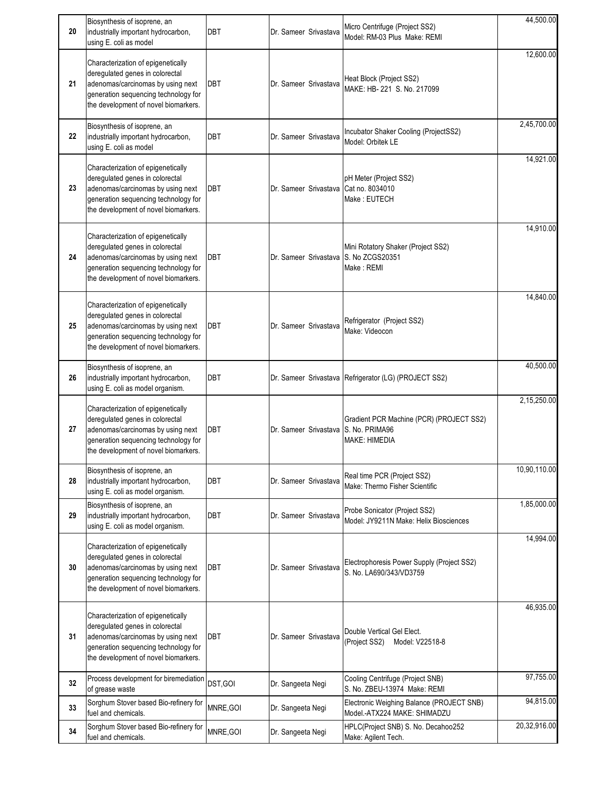| 20 | Biosynthesis of isoprene, an<br>industrially important hydrocarbon,<br>using E. coli as model                                                                                              | DBT        | Dr. Sameer Srivastava                 | Micro Centrifuge (Project SS2)<br>Model: RM-03 Plus Make: REMI            | 44,500.00    |
|----|--------------------------------------------------------------------------------------------------------------------------------------------------------------------------------------------|------------|---------------------------------------|---------------------------------------------------------------------------|--------------|
| 21 | Characterization of epigenetically<br>deregulated genes in colorectal<br>adenomas/carcinomas by using next<br>generation sequencing technology for<br>the development of novel biomarkers. | DBT        | Dr. Sameer Srivastava                 | Heat Block (Project SS2)<br>MAKE: HB-221 S. No. 217099                    | 12,600.00    |
| 22 | Biosynthesis of isoprene, an<br>industrially important hydrocarbon,<br>using E. coli as model                                                                                              | <b>DBT</b> | Dr. Sameer Srivastava                 | Incubator Shaker Cooling (ProjectSS2)<br>Model: Orbitek LE                | 2,45,700.00  |
| 23 | Characterization of epigenetically<br>deregulated genes in colorectal<br>adenomas/carcinomas by using next<br>generation sequencing technology for<br>the development of novel biomarkers. | DBT        | Dr. Sameer Srivastava Cat no. 8034010 | pH Meter (Project SS2)<br>Make: EUTECH                                    | 14,921.00    |
| 24 | Characterization of epigenetically<br>deregulated genes in colorectal<br>adenomas/carcinomas by using next<br>generation sequencing technology for<br>the development of novel biomarkers. | DBT        | Dr. Sameer Srivastava S. No ZCGS20351 | Mini Rotatory Shaker (Project SS2)<br>Make: REMI                          | 14,910.00    |
| 25 | Characterization of epigenetically<br>deregulated genes in colorectal<br>adenomas/carcinomas by using next<br>generation sequencing technology for<br>the development of novel biomarkers. | DBT        | Dr. Sameer Srivastava                 | Refrigerator (Project SS2)<br>Make: Videocon                              | 14,840.00    |
| 26 | Biosynthesis of isoprene, an<br>industrially important hydrocarbon,<br>using E. coli as model organism.                                                                                    | <b>DBT</b> |                                       | Dr. Sameer Srivastava Refrigerator (LG) (PROJECT SS2)                     | 40,500.00    |
| 27 | Characterization of epigenetically<br>deregulated genes in colorectal<br>adenomas/carcinomas by using next<br>generation sequencing technology for<br>the development of novel biomarkers. | DBT        | Dr. Sameer Srivastava S. No. PRIMA96  | Gradient PCR Machine (PCR) (PROJECT SS2)<br><b>MAKE: HIMEDIA</b>          | 2,15,250.00  |
| 28 | Biosynthesis of isoprene, an<br>industrially important hydrocarbon,<br>using E. coli as model organism.                                                                                    | DBT        | Dr. Sameer Srivastava                 | Real time PCR (Project SS2)<br>Make: Thermo Fisher Scientific             | 10,90,110.00 |
| 29 | Biosynthesis of isoprene, an<br>industrially important hydrocarbon,<br>using E. coli as model organism.                                                                                    | DBT        | Dr. Sameer Srivastava                 | Probe Sonicator (Project SS2)<br>Model: JY9211N Make: Helix Biosciences   | 1,85,000.00  |
| 30 | Characterization of epigenetically<br>deregulated genes in colorectal<br>adenomas/carcinomas by using next<br>generation sequencing technology for<br>the development of novel biomarkers. | DBT        | Dr. Sameer Srivastava                 | Electrophoresis Power Supply (Project SS2)<br>S. No. LA690/343/VD3759     | 14,994.00    |
| 31 | Characterization of epigenetically<br>deregulated genes in colorectal<br>adenomas/carcinomas by using next<br>generation sequencing technology for<br>the development of novel biomarkers. | DBT        | Dr. Sameer Srivastava                 | Double Vertical Gel Elect.<br>(Project SS2)<br>Model: V22518-8            | 46,935.00    |
| 32 | Process development for biremediation<br>of grease waste                                                                                                                                   | DST, GOI   | Dr. Sangeeta Negi                     | Cooling Centrifuge (Project SNB)<br>S. No. ZBEU-13974 Make: REMI          | 97,755.00    |
| 33 | Sorghum Stover based Bio-refinery for<br>fuel and chemicals.                                                                                                                               | MNRE, GOI  | Dr. Sangeeta Negi                     | Electronic Weighing Balance (PROJECT SNB)<br>Model.-ATX224 MAKE: SHIMADZU | 94,815.00    |
| 34 | Sorghum Stover based Bio-refinery for<br>fuel and chemicals.                                                                                                                               | MNRE, GOI  | Dr. Sangeeta Negi                     | HPLC(Project SNB) S. No. Decahoo252<br>Make: Agilent Tech.                | 20,32,916.00 |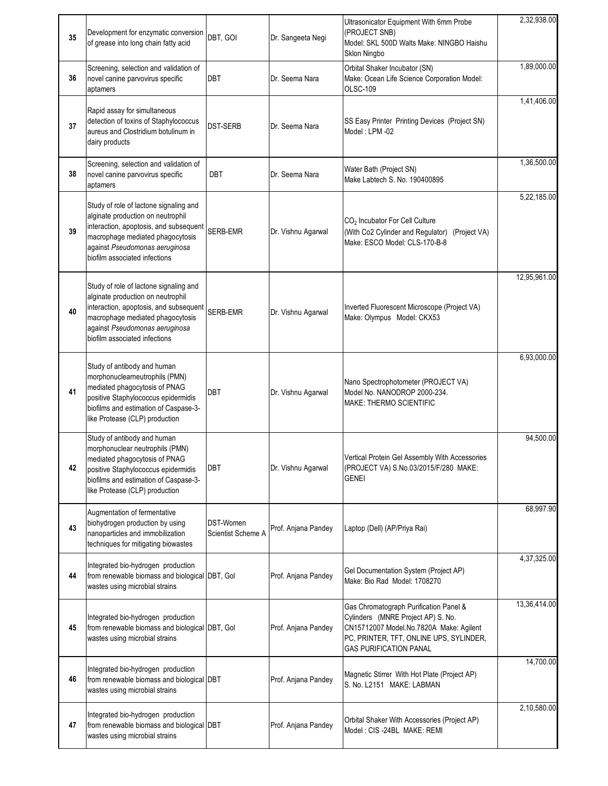| 35 | Development for enzymatic conversion<br>of grease into long chain fatty acid                                                                                                                                                 | DBT, GOI                        | Dr. Sangeeta Negi   | Ultrasonicator Equipment With 6mm Probe<br>(PROJECT SNB)<br>Model: SKL 500D Walts Make: NINGBO Haishu<br>Sklon Ningbo                                                                               | 2,32,938.00  |
|----|------------------------------------------------------------------------------------------------------------------------------------------------------------------------------------------------------------------------------|---------------------------------|---------------------|-----------------------------------------------------------------------------------------------------------------------------------------------------------------------------------------------------|--------------|
| 36 | Screening, selection and validation of<br>novel canine parvovirus specific<br>aptamers                                                                                                                                       | DBT                             | Dr. Seema Nara      | Orbital Shaker Incubator (SN)<br>Make: Ocean Life Science Corporation Model:<br>OLSC-109                                                                                                            | 1,89,000.00  |
| 37 | Rapid assay for simultaneous<br>detection of toxins of Staphylococcus<br>aureus and Clostridium botulinum in<br>dairy products                                                                                               | <b>DST-SERB</b>                 | Dr. Seema Nara      | SS Easy Printer Printing Devices (Project SN)<br>Model: LPM -02                                                                                                                                     | 1,41,406.00  |
| 38 | Screening, selection and validation of<br>novel canine parvovirus specific<br>aptamers                                                                                                                                       | DBT                             | Dr. Seema Nara      | Water Bath (Project SN)<br>Make Labtech S. No. 190400895                                                                                                                                            | 1,36,500.00  |
| 39 | Study of role of lactone signaling and<br>alginate production on neutrophil<br>interaction, apoptosis, and subsequent<br>macrophage mediated phagocytosis<br>against Pseudomonas aeruginosa<br>biofilm associated infections | SERB-EMR                        | Dr. Vishnu Agarwal  | CO <sub>2</sub> Incubator For Cell Culture<br>(With Co2 Cylinder and Regulator)<br>(Project VA)<br>Make: ESCO Model: CLS-170-B-8                                                                    | 5,22,185.00  |
| 40 | Study of role of lactone signaling and<br>alginate production on neutrophil<br>interaction, apoptosis, and subsequent<br>macrophage mediated phagocytosis<br>against Pseudomonas aeruginosa<br>biofilm associated infections | SERB-EMR                        | Dr. Vishnu Agarwal  | Inverted Fluorescent Microscope (Project VA)<br>Make: Olympus Model: CKX53                                                                                                                          | 12,95,961.00 |
| 41 | Study of antibody and human<br>morphonuclearneutrophils (PMN)<br>mediated phagocytosis of PNAG<br>positive Staphylococcus epidermidis<br>biofilms and estimation of Caspase-3-<br>like Protease (CLP) production             | DBT                             | Dr. Vishnu Agarwal  | Nano Spectrophotometer (PROJECT VA)<br>Model No. NANODROP 2000-234.<br><b>MAKE: THERMO SCIENTIFIC</b>                                                                                               | 6,93,000.00  |
| 42 | Study of antibody and human<br>morphonuclear neutrophils (PMN)<br>mediated phagocytosis of PNAG<br>positive Staphylococcus epidermidis<br>biofilms and estimation of Caspase-3-<br>like Protease (CLP) production            | <b>DBT</b>                      | Dr. Vishnu Agarwal  | Vertical Protein Gel Assembly With Accessories<br>(PROJECT VA) S.No.03/2015/F/280 MAKE:<br><b>GENEI</b>                                                                                             | 94,500.00    |
| 43 | Augmentation of fermentative<br>biohydrogen production by using<br>nanoparticles and immobilization<br>techniques for mitigating biowastes                                                                                   | DST-Women<br>Scientist Scheme A | Prof. Anjana Pandey | Laptop (Dell) (AP/Priya Rai)                                                                                                                                                                        | 68,997.90    |
| 44 | Integrated bio-hydrogen production<br>from renewable biomass and biological DBT, Gol<br>wastes using microbial strains                                                                                                       |                                 | Prof. Anjana Pandey | Gel Documentation System (Project AP)<br>Make: Bio Rad Model: 1708270                                                                                                                               | 4,37,325.00  |
| 45 | Integrated bio-hydrogen production<br>from renewable biomass and biological DBT, Gol<br>wastes using microbial strains                                                                                                       |                                 | Prof. Anjana Pandey | Gas Chromatograph Purification Panel &<br>Cylinders (MNRE Project AP) S. No.<br>CN15712007 Model.No.7820A Make: Agilent<br>PC, PRINTER, TFT, ONLINE UPS, SYLINDER,<br><b>GAS PURIFICATION PANAL</b> | 13,36,414.00 |
| 46 | Integrated bio-hydrogen production<br>from renewable biomass and biological DBT<br>wastes using microbial strains                                                                                                            |                                 | Prof. Anjana Pandey | Magnetic Stirrer With Hot Plate (Project AP)<br>S. No. L2151 MAKE: LABMAN                                                                                                                           | 14,700.00    |
| 47 | Integrated bio-hydrogen production<br>from renewable biomass and biological DBT<br>wastes using microbial strains                                                                                                            |                                 | Prof. Anjana Pandey | Orbital Shaker With Accessories (Project AP)<br>Model: CIS-24BL MAKE: REMI                                                                                                                          | 2,10,580.00  |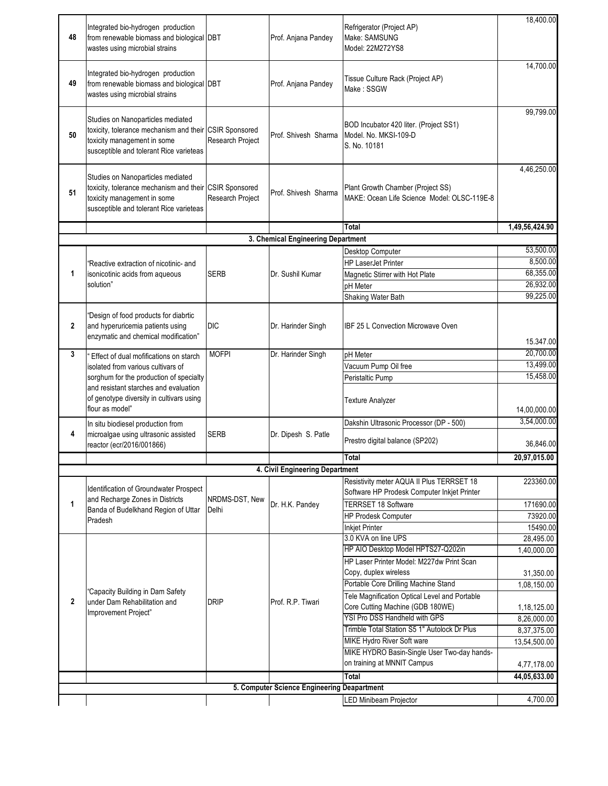| 48             | Integrated bio-hydrogen production<br>from renewable biomass and biological DBT<br>wastes using microbial strains                                                     |                  | Prof. Anjana Pandey                         | Refrigerator (Project AP)<br>Make: SAMSUNG<br>Model: 22M272YS8                           | 18,400.00                |
|----------------|-----------------------------------------------------------------------------------------------------------------------------------------------------------------------|------------------|---------------------------------------------|------------------------------------------------------------------------------------------|--------------------------|
| 49             | Integrated bio-hydrogen production<br>from renewable biomass and biological DBT<br>wastes using microbial strains                                                     |                  | Prof. Anjana Pandey                         | Tissue Culture Rack (Project AP)<br>Make: SSGW                                           | 14,700.00                |
| 50             | Studies on Nanoparticles mediated<br>toxicity, tolerance mechanism and their CSIR Sponsored<br>toxicity management in some<br>susceptible and tolerant Rice varieteas | Research Project | Prof. Shivesh Sharma                        | BOD Incubator 420 liter. (Project SS1)<br>Model. No. MKSI-109-D<br>S. No. 10181          | 99,799.00                |
| 51             | Studies on Nanoparticles mediated<br>toxicity, tolerance mechanism and their CSIR Sponsored<br>toxicity management in some<br>susceptible and tolerant Rice varieteas | Research Project | Prof. Shivesh Sharma                        | Plant Growth Chamber (Project SS)<br>MAKE: Ocean Life Science Model: OLSC-119E-8         | 4,46,250.00              |
|                |                                                                                                                                                                       |                  |                                             | Total                                                                                    | 1,49,56,424.90           |
|                |                                                                                                                                                                       |                  | 3. Chemical Engineering Department          |                                                                                          |                          |
|                |                                                                                                                                                                       |                  |                                             | Desktop Computer                                                                         | 53,500.00                |
|                | "Reactive extraction of nicotinic- and                                                                                                                                |                  |                                             | <b>HP LaserJet Printer</b>                                                               | 8,500.00                 |
| 1              | isonicotinic acids from aqueous                                                                                                                                       | <b>SERB</b>      | Dr. Sushil Kumar                            | Magnetic Stirrer with Hot Plate                                                          | 68,355.00                |
|                | solution"                                                                                                                                                             |                  |                                             | pH Meter                                                                                 | 26,932.00                |
|                |                                                                                                                                                                       |                  |                                             | Shaking Water Bath                                                                       | 99,225.00                |
| $\overline{2}$ | "Design of food products for diabrtic<br>and hyperuricemia patients using<br>enzymatic and chemical modification"                                                     | <b>DIC</b>       | Dr. Harinder Singh                          | <b>IBF 25 L Convection Microwave Oven</b>                                                | 15.347.00                |
| 3              | 'Effect of dual mofifications on starch                                                                                                                               | <b>MOFPI</b>     | Dr. Harinder Singh                          | pH Meter                                                                                 | 20,700.00                |
|                | isolated from various cultivars of                                                                                                                                    |                  |                                             | Vacuum Pump Oil free                                                                     | 13,499.00                |
|                | sorghum for the production of specialty<br>and resistant starches and evaluation                                                                                      |                  |                                             | Peristaltic Pump                                                                         | 15,458.00                |
|                | of genotype diversity in cultivars using<br>flour as model"                                                                                                           |                  |                                             | <b>Texture Analyzer</b>                                                                  | 14,00,000.00             |
|                | In situ biodiesel production from                                                                                                                                     |                  |                                             | Dakshin Ultrasonic Processor (DP - 500)                                                  | 3,54,000.00              |
| 4              | microalgae using ultrasonic assisted<br>reactor (ecr/2016/001866)                                                                                                     | <b>SERB</b>      | Dr. Dipesh S. Patle                         | Prestro digital balance (SP202)                                                          | 36,846.00                |
|                |                                                                                                                                                                       |                  |                                             | <b>Total</b>                                                                             | 20,97,015.00             |
|                |                                                                                                                                                                       |                  | 4. Civil Engineering Department             |                                                                                          |                          |
|                | Identification of Groundwater Prospect<br>and Recharge Zones in Districts                                                                                             | NRDMS-DST, New   |                                             | Resistivity meter AQUA II Plus TERRSET 18<br>Software HP Prodesk Computer Inkjet Printer | 223360.00                |
| 1              | Banda of Budelkhand Region of Uttar                                                                                                                                   | Delhi            | Dr. H.K. Pandey                             | <b>TERRSET 18 Software</b>                                                               | 171690.00                |
|                | Pradesh                                                                                                                                                               |                  |                                             | <b>HP Prodesk Computer</b>                                                               | 73920.00                 |
|                |                                                                                                                                                                       |                  |                                             | <b>Inkjet Printer</b>                                                                    | 15490.00                 |
|                |                                                                                                                                                                       |                  |                                             | 3.0 KVA on line UPS                                                                      | 28,495.00                |
|                |                                                                                                                                                                       |                  |                                             | HP AIO Desktop Model HPTS27-Q202in                                                       | 1,40,000.00              |
|                |                                                                                                                                                                       |                  |                                             | HP Laser Printer Model: M227dw Print Scan                                                |                          |
|                |                                                                                                                                                                       |                  |                                             | Copy, duplex wireless<br>Portable Core Drilling Machine Stand                            | 31,350.00<br>1,08,150.00 |
|                | "Capacity Building in Dam Safety                                                                                                                                      |                  |                                             | Tele Magnification Optical Level and Portable                                            |                          |
| $\mathbf{2}$   | under Dam Rehabilitation and                                                                                                                                          | <b>DRIP</b>      | Prof. R.P. Tiwari                           | Core Cutting Machine (GDB 180WE)                                                         | 1,18,125.00              |
|                | Improvement Project"                                                                                                                                                  |                  |                                             | YSI Pro DSS Handheld with GPS                                                            | 8,26,000.00              |
|                |                                                                                                                                                                       |                  |                                             | Trimble Total Station S5 1" Autolock Dr Plus                                             | 8,37,375.00              |
|                |                                                                                                                                                                       |                  |                                             | MIKE Hydro River Soft ware                                                               | 13,54,500.00             |
|                |                                                                                                                                                                       |                  |                                             | MIKE HYDRO Basin-Single User Two-day hands-                                              |                          |
|                |                                                                                                                                                                       |                  |                                             | on training at MNNIT Campus                                                              | 4,77,178.00              |
|                |                                                                                                                                                                       |                  |                                             | Total                                                                                    | 44,05,633.00             |
|                |                                                                                                                                                                       |                  | 5. Computer Science Engineering Deapartment |                                                                                          |                          |
|                |                                                                                                                                                                       |                  |                                             | <b>LED Minibeam Projector</b>                                                            | 4,700.00                 |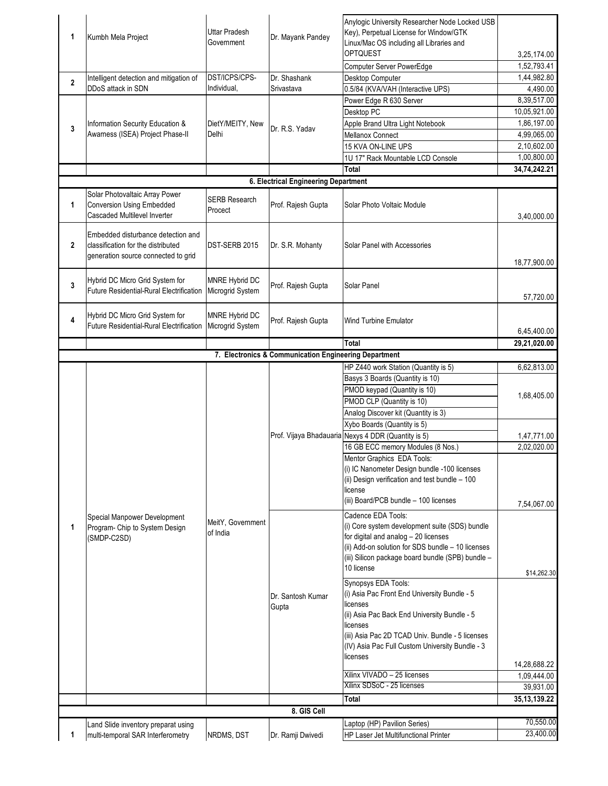| 1              | Kumbh Mela Project                                                                                              | <b>Uttar Pradesh</b><br>Government | Dr. Mayank Pandey                                                                                                                                                                                                                                                                                                                                                                                                                                                                                                                                                                                                                                                                                                                                                                                                                                         | Anylogic University Researcher Node Locked USB<br>Key), Perpetual License for Window/GTK<br>Linux/Mac OS including all Libraries and<br><b>OPTQUEST</b> | 3,25,174.00     |
|----------------|-----------------------------------------------------------------------------------------------------------------|------------------------------------|-----------------------------------------------------------------------------------------------------------------------------------------------------------------------------------------------------------------------------------------------------------------------------------------------------------------------------------------------------------------------------------------------------------------------------------------------------------------------------------------------------------------------------------------------------------------------------------------------------------------------------------------------------------------------------------------------------------------------------------------------------------------------------------------------------------------------------------------------------------|---------------------------------------------------------------------------------------------------------------------------------------------------------|-----------------|
|                |                                                                                                                 |                                    |                                                                                                                                                                                                                                                                                                                                                                                                                                                                                                                                                                                                                                                                                                                                                                                                                                                           | Computer Server PowerEdge                                                                                                                               | 1,52,793.41     |
|                | Intelligent detection and mitigation of                                                                         | DST/ICPS/CPS-                      | Dr. Shashank                                                                                                                                                                                                                                                                                                                                                                                                                                                                                                                                                                                                                                                                                                                                                                                                                                              | Desktop Computer                                                                                                                                        | 1,44,982.80     |
| $\overline{2}$ | DDoS attack in SDN                                                                                              | Individual,                        | Srivastava                                                                                                                                                                                                                                                                                                                                                                                                                                                                                                                                                                                                                                                                                                                                                                                                                                                | 0.5/84 (KVA/VAH (Interactive UPS)                                                                                                                       | 4,490.00        |
|                |                                                                                                                 |                                    |                                                                                                                                                                                                                                                                                                                                                                                                                                                                                                                                                                                                                                                                                                                                                                                                                                                           | Power Edge R 630 Server                                                                                                                                 | 8,39,517.00     |
|                |                                                                                                                 |                                    |                                                                                                                                                                                                                                                                                                                                                                                                                                                                                                                                                                                                                                                                                                                                                                                                                                                           |                                                                                                                                                         |                 |
|                |                                                                                                                 |                                    |                                                                                                                                                                                                                                                                                                                                                                                                                                                                                                                                                                                                                                                                                                                                                                                                                                                           | Desktop PC                                                                                                                                              | 10,05,921.00    |
| 3              | Information Security Education &                                                                                | DietY/MEITY, New                   | Dr. R.S. Yadav                                                                                                                                                                                                                                                                                                                                                                                                                                                                                                                                                                                                                                                                                                                                                                                                                                            | Apple Brand Ultra Light Notebook                                                                                                                        | 1,86,197.00     |
|                | Awarness (ISEA) Project Phase-II                                                                                | Delhi                              |                                                                                                                                                                                                                                                                                                                                                                                                                                                                                                                                                                                                                                                                                                                                                                                                                                                           | Mellanox Connect                                                                                                                                        | 4,99,065.00     |
|                |                                                                                                                 |                                    |                                                                                                                                                                                                                                                                                                                                                                                                                                                                                                                                                                                                                                                                                                                                                                                                                                                           | 15 KVA ON-LINE UPS                                                                                                                                      | 2,10,602.00     |
|                |                                                                                                                 |                                    |                                                                                                                                                                                                                                                                                                                                                                                                                                                                                                                                                                                                                                                                                                                                                                                                                                                           | 1U 17" Rack Mountable LCD Console                                                                                                                       | 1,00,800.00     |
|                |                                                                                                                 |                                    |                                                                                                                                                                                                                                                                                                                                                                                                                                                                                                                                                                                                                                                                                                                                                                                                                                                           | Total                                                                                                                                                   | 34,74,242.21    |
|                |                                                                                                                 |                                    | 6. Electrical Engineering Department                                                                                                                                                                                                                                                                                                                                                                                                                                                                                                                                                                                                                                                                                                                                                                                                                      |                                                                                                                                                         |                 |
| 1              | Solar Photovaltaic Array Power<br><b>Conversion Using Embedded</b><br><b>Cascaded Multilevel Inverter</b>       | <b>SERB Research</b><br>Procect    | Prof. Rajesh Gupta                                                                                                                                                                                                                                                                                                                                                                                                                                                                                                                                                                                                                                                                                                                                                                                                                                        | Solar Photo Voltaic Module                                                                                                                              | 3,40,000.00     |
| $\overline{2}$ | Embedded disturbance detection and<br>classification for the distributed<br>generation source connected to grid | DST-SERB 2015                      | Dr. S.R. Mohanty                                                                                                                                                                                                                                                                                                                                                                                                                                                                                                                                                                                                                                                                                                                                                                                                                                          | Solar Panel with Accessories                                                                                                                            | 18,77,900.00    |
| 3              | Hybrid DC Micro Grid System for<br><b>Future Residential-Rural Electrification</b>                              | MNRE Hybrid DC<br>Microgrid System | Prof. Rajesh Gupta                                                                                                                                                                                                                                                                                                                                                                                                                                                                                                                                                                                                                                                                                                                                                                                                                                        | Solar Panel                                                                                                                                             | 57,720.00       |
| 4              | Hybrid DC Micro Grid System for<br>Future Residential-Rural Electrification                                     | MNRE Hybrid DC<br>Microgrid System | Prof. Rajesh Gupta                                                                                                                                                                                                                                                                                                                                                                                                                                                                                                                                                                                                                                                                                                                                                                                                                                        | Wind Turbine Emulator                                                                                                                                   | 6,45,400.00     |
|                |                                                                                                                 |                                    |                                                                                                                                                                                                                                                                                                                                                                                                                                                                                                                                                                                                                                                                                                                                                                                                                                                           | Total                                                                                                                                                   | 29,21,020.00    |
|                |                                                                                                                 |                                    |                                                                                                                                                                                                                                                                                                                                                                                                                                                                                                                                                                                                                                                                                                                                                                                                                                                           |                                                                                                                                                         |                 |
|                |                                                                                                                 |                                    |                                                                                                                                                                                                                                                                                                                                                                                                                                                                                                                                                                                                                                                                                                                                                                                                                                                           | HP Z440 work Station (Quantity is 5)                                                                                                                    | 6,62,813.00     |
|                |                                                                                                                 |                                    |                                                                                                                                                                                                                                                                                                                                                                                                                                                                                                                                                                                                                                                                                                                                                                                                                                                           | Basys 3 Boards (Quantity is 10)                                                                                                                         |                 |
|                |                                                                                                                 |                                    |                                                                                                                                                                                                                                                                                                                                                                                                                                                                                                                                                                                                                                                                                                                                                                                                                                                           | PMOD keypad (Quantity is 10)                                                                                                                            |                 |
|                |                                                                                                                 |                                    |                                                                                                                                                                                                                                                                                                                                                                                                                                                                                                                                                                                                                                                                                                                                                                                                                                                           |                                                                                                                                                         | 1,68,405.00     |
|                |                                                                                                                 |                                    |                                                                                                                                                                                                                                                                                                                                                                                                                                                                                                                                                                                                                                                                                                                                                                                                                                                           |                                                                                                                                                         |                 |
|                |                                                                                                                 |                                    |                                                                                                                                                                                                                                                                                                                                                                                                                                                                                                                                                                                                                                                                                                                                                                                                                                                           |                                                                                                                                                         |                 |
|                |                                                                                                                 |                                    |                                                                                                                                                                                                                                                                                                                                                                                                                                                                                                                                                                                                                                                                                                                                                                                                                                                           |                                                                                                                                                         | 1,47,771.00     |
|                |                                                                                                                 |                                    |                                                                                                                                                                                                                                                                                                                                                                                                                                                                                                                                                                                                                                                                                                                                                                                                                                                           |                                                                                                                                                         | 2,02,020.00     |
|                |                                                                                                                 |                                    |                                                                                                                                                                                                                                                                                                                                                                                                                                                                                                                                                                                                                                                                                                                                                                                                                                                           |                                                                                                                                                         |                 |
|                |                                                                                                                 |                                    |                                                                                                                                                                                                                                                                                                                                                                                                                                                                                                                                                                                                                                                                                                                                                                                                                                                           | (i) IC Nanometer Design bundle -100 licenses<br>(ii) Design verification and test bundle - 100<br>license                                               |                 |
|                |                                                                                                                 |                                    |                                                                                                                                                                                                                                                                                                                                                                                                                                                                                                                                                                                                                                                                                                                                                                                                                                                           | (iii) Board/PCB bundle - 100 licenses                                                                                                                   | 7,54,067.00     |
|                | Special Manpower Development                                                                                    |                                    | 7. Electronics & Communication Engineering Department<br>PMOD CLP (Quantity is 10)<br>Analog Discover kit (Quantity is 3)<br>Xybo Boards (Quantity is 5)<br>Prof. Vijaya Bhadauaria Nexys 4 DDR (Quantity is 5)<br>16 GB ECC memory Modules (8 Nos.)<br>Mentor Graphics EDA Tools:<br>Cadence EDA Tools:<br>(i) Core system development suite (SDS) bundle<br>for digital and analog - 20 licenses<br>(ii) Add-on solution for SDS bundle - 10 licenses<br>(iii) Silicon package board bundle (SPB) bundle -<br>10 license<br>Synopsys EDA Tools:<br>(i) Asia Pac Front End University Bundle - 5<br>Dr. Santosh Kumar<br>licenses<br>Gupta<br>(ii) Asia Pac Back End University Bundle - 5<br>licenses<br>(iii) Asia Pac 2D TCAD Univ. Bundle - 5 licenses<br>(IV) Asia Pac Full Custom University Bundle - 3<br>licenses<br>Xilinx VIVADO - 25 licenses |                                                                                                                                                         |                 |
| 1              | Program- Chip to System Design<br>(SMDP-C2SD)                                                                   | MeitY, Government<br>of India      |                                                                                                                                                                                                                                                                                                                                                                                                                                                                                                                                                                                                                                                                                                                                                                                                                                                           |                                                                                                                                                         |                 |
|                |                                                                                                                 |                                    |                                                                                                                                                                                                                                                                                                                                                                                                                                                                                                                                                                                                                                                                                                                                                                                                                                                           |                                                                                                                                                         | \$14,262.30     |
|                |                                                                                                                 |                                    |                                                                                                                                                                                                                                                                                                                                                                                                                                                                                                                                                                                                                                                                                                                                                                                                                                                           |                                                                                                                                                         |                 |
|                |                                                                                                                 |                                    |                                                                                                                                                                                                                                                                                                                                                                                                                                                                                                                                                                                                                                                                                                                                                                                                                                                           |                                                                                                                                                         |                 |
|                |                                                                                                                 |                                    |                                                                                                                                                                                                                                                                                                                                                                                                                                                                                                                                                                                                                                                                                                                                                                                                                                                           |                                                                                                                                                         | 14,28,688.22    |
|                |                                                                                                                 |                                    |                                                                                                                                                                                                                                                                                                                                                                                                                                                                                                                                                                                                                                                                                                                                                                                                                                                           |                                                                                                                                                         | 1,09,444.00     |
|                |                                                                                                                 |                                    |                                                                                                                                                                                                                                                                                                                                                                                                                                                                                                                                                                                                                                                                                                                                                                                                                                                           | Xilinx SDSoC - 25 licenses                                                                                                                              | 39,931.00       |
|                |                                                                                                                 |                                    |                                                                                                                                                                                                                                                                                                                                                                                                                                                                                                                                                                                                                                                                                                                                                                                                                                                           | Total                                                                                                                                                   | 35, 13, 139. 22 |
|                |                                                                                                                 |                                    | 8. GIS Cell                                                                                                                                                                                                                                                                                                                                                                                                                                                                                                                                                                                                                                                                                                                                                                                                                                               |                                                                                                                                                         |                 |
|                | Land Slide inventory preparat using                                                                             |                                    |                                                                                                                                                                                                                                                                                                                                                                                                                                                                                                                                                                                                                                                                                                                                                                                                                                                           | Laptop (HP) Pavilion Series)                                                                                                                            | 70,550.00       |
|                | multi-temporal SAR Interferometry                                                                               | NRDMS, DST                         | Dr. Ramji Dwivedi                                                                                                                                                                                                                                                                                                                                                                                                                                                                                                                                                                                                                                                                                                                                                                                                                                         | <b>HP Laser Jet Multifunctional Printer</b>                                                                                                             | 23,400.00       |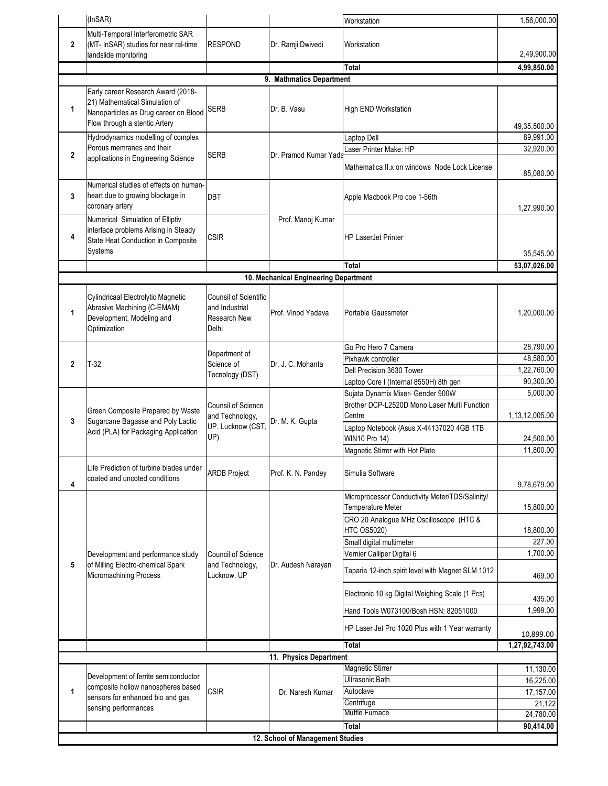|              | (InSAR)                                                                                                                                        |                                                                         |                                       | Workstation                                                                                         | 1,56,000.00                 |  |
|--------------|------------------------------------------------------------------------------------------------------------------------------------------------|-------------------------------------------------------------------------|---------------------------------------|-----------------------------------------------------------------------------------------------------|-----------------------------|--|
| $\mathbf{2}$ | Multi-Temporal Interferometric SAR<br>(MT- InSAR) studies for near ral-time<br>landslide monitoring                                            | <b>RESPOND</b>                                                          | Dr. Ramji Dwivedi                     | Workstation                                                                                         | 2,49,900.00                 |  |
|              |                                                                                                                                                |                                                                         |                                       | Total                                                                                               | 4,99,850.00                 |  |
|              |                                                                                                                                                |                                                                         | 9. Mathmatics Department              |                                                                                                     |                             |  |
| 1            | Early career Research Award (2018-<br>21) Mathematical Simulation of<br>Nanoparticles as Drug career on Blood<br>Flow through a stentic Artery | <b>SERB</b>                                                             | Dr. B. Vasu                           | High END Workstation                                                                                | 49,35,500.00                |  |
| $\mathbf 2$  | Hydrodynamics modelling of complex<br>Porous memranes and their<br>applications in Engineering Science                                         | <b>SERB</b>                                                             | Dr. Pramod Kumar Yada                 | Laptop Dell<br>Laser Printer Make: HP<br>Mathematica II.x on windows Node Lock License              | 89,991.00<br>32,920.00      |  |
| 3            | Numerical studies of effects on human-<br>heart due to growing blockage in<br>coronary artery                                                  | <b>DBT</b>                                                              |                                       | Apple Macbook Pro coe 1-56th                                                                        | 85,080.00<br>1,27,990.00    |  |
| 4            | Numerical Simulation of Elliptiv<br>interface problems Arising in Steady<br>State Heat Conduction in Composite<br>Systems                      | <b>CSIR</b>                                                             | Prof. Manoj Kumar                     | <b>HP LaserJet Printer</b>                                                                          | 35.545.00                   |  |
|              |                                                                                                                                                |                                                                         |                                       | Total                                                                                               | 53,07,026.00                |  |
|              |                                                                                                                                                |                                                                         | 10. Mechanical Engineering Department |                                                                                                     |                             |  |
|              |                                                                                                                                                |                                                                         |                                       |                                                                                                     |                             |  |
| 1            | Cylindricaal Electrolytic Magnetic<br>Abrasive Machining (C-EMAM)<br>Development, Modeling and<br>Optimization                                 | <b>Counsil of Scientific</b><br>and Industrial<br>Research New<br>Delhi | Prof. Vinod Yadava                    | Portable Gaussmeter                                                                                 | 1,20,000.00                 |  |
|              |                                                                                                                                                |                                                                         |                                       | Go Pro Hero 7 Camera                                                                                | 28,790.00                   |  |
|              |                                                                                                                                                | Department of                                                           |                                       | Pixhawk controller                                                                                  | 48,580.00                   |  |
| $\mathbf{2}$ | $T-32$                                                                                                                                         | Science of<br>Tecnology (DST)                                           | Dr. J. C. Mohanta                     | Dell Precision 3630 Tower                                                                           | 1,22,760.00                 |  |
|              |                                                                                                                                                |                                                                         |                                       | Laptop Core I (Internal 8550H) 8th gen                                                              | 90,300.00                   |  |
|              |                                                                                                                                                |                                                                         |                                       | Sujata Dynamix Mixer- Gender 900W                                                                   | 5,000.00                    |  |
| 3            | Green Composite Prepared by Waste<br>Sugarcane Bagasse and Poly Lactic                                                                         | <b>Counsil of Science</b><br>and Technology,                            | Dr. M. K. Gupta                       | Brother DCP-L2520D Mono Laser Multi Function<br>Centre                                              | 1,13,12,005.00              |  |
|              | Acid (PLA) for Packaging Application                                                                                                           | UP. Lucknow (CST,<br>UP)                                                |                                       | Laptop Notebook (Asus X-44137020 4GB 1TB<br><b>WIN10 Pro 14)</b><br>Magnetic Stirrer with Hot Plate | 24,500.00<br>11,800.00      |  |
| 4            | Life Prediction of turbine blades under<br>coated and uncoted conditions                                                                       | <b>ARDB Project</b>                                                     | Prof. K. N. Pandey                    | Simulia Software                                                                                    | 9,78,679.00                 |  |
|              |                                                                                                                                                |                                                                         |                                       | Microprocessor Conductivity Meter/TDS/Salinity/<br>Temperature Meter                                | 15,800.00                   |  |
|              |                                                                                                                                                |                                                                         |                                       | CRO 20 Analogue MHz Oscilloscope (HTC &<br><b>HTC OS5020)</b>                                       | 18,800.00<br>227.00         |  |
|              |                                                                                                                                                |                                                                         |                                       | Small digital multimeter<br>Vernier Calliper Digital 6                                              | 1,700.00                    |  |
| 5            | Development and performance study<br>of Milling Electro-chemical Spark<br>Micromachining Process                                               | Council of Science<br>and Technology,<br>Lucknow, UP                    | Dr. Audesh Narayan                    | Taparia 12-inch spirit level with Magnet SLM 1012                                                   | 469.00                      |  |
|              |                                                                                                                                                |                                                                         |                                       | Electronic 10 kg Digital Weighing Scale (1 Pcs)                                                     | 435.00                      |  |
|              |                                                                                                                                                |                                                                         |                                       | Hand Tools W073100/Bosh HSN: 82051000                                                               | 1,999.00                    |  |
|              |                                                                                                                                                |                                                                         |                                       | HP Laser Jet Pro 1020 Plus with 1 Year warranty<br><b>Total</b>                                     | 10,899.00<br>1,27,92,743.00 |  |
|              |                                                                                                                                                |                                                                         |                                       |                                                                                                     |                             |  |
|              |                                                                                                                                                |                                                                         | 11. Physics Department                |                                                                                                     |                             |  |
|              | Development of ferrite semiconductor                                                                                                           |                                                                         |                                       | <b>Magnetic Stirrer</b>                                                                             | 11,130.00                   |  |
|              | composite hollow nanospheres based                                                                                                             |                                                                         |                                       | <b>Ultrasonic Bath</b>                                                                              | 16,225.00                   |  |
| 1            | sensors for enhanced bio and gas                                                                                                               | <b>CSIR</b>                                                             | Dr. Naresh Kumar                      | Autoclave                                                                                           | 17,157.00                   |  |
|              | sensing performances                                                                                                                           |                                                                         |                                       | Centrifuge                                                                                          | 21,122                      |  |
|              |                                                                                                                                                |                                                                         |                                       | Muffle Furnace                                                                                      | 24,780.00                   |  |
|              |                                                                                                                                                |                                                                         |                                       | Total                                                                                               | 90,414.00                   |  |
|              |                                                                                                                                                |                                                                         | 12. School of Management Studies      |                                                                                                     |                             |  |
|              |                                                                                                                                                |                                                                         |                                       |                                                                                                     |                             |  |